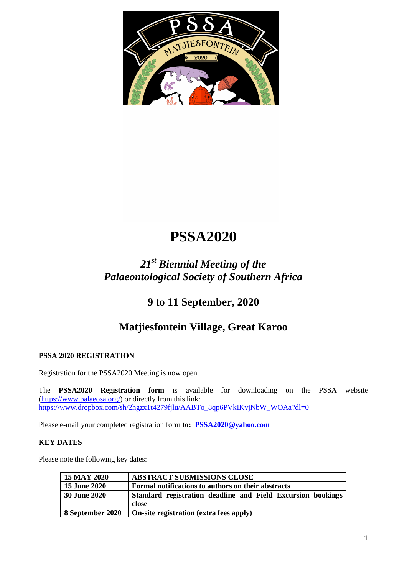### **FIRST CIRCULAR**

# **PSSA2020**

# *21st Biennial Meeting of the Palaeontological Society of Southern Africa*

## **9 to 11 September, 2020**

## **Matjiesfontein Village, Great Karoo**

#### **PSSA 2020 REGISTRATION**

Registration for the PSSA2020 Meeting is now open.

The **PSSA2020 Registration form** [is available for downloading on the](https://www.dropbox.com/sh/2hgzx1t4279fjlu/AABTo_8qp6PVkIKvjNbW_WOAa?dl=0) PSSA website [\(https://www.palaeosa.org/\)](https://www.palaeosa.org/) or directly from this link: https://ww<u>w.dropbox.com/sh/2hgzx1t4279fjlu/AA[BTo\\_8qp6PVkIKvjNbW\\_W](mailto:PSSA2020@yahoo.com)OAa?dl=0</u>

Please e-mail your completed registration form **to: PSSA2020@yahoo.com**

#### **KEY DATES**

Please note the following key dates:

| 15 MAY 2020         | <b>ABSTRACT SUBMISSIONS CLOSE</b>                                    |  |
|---------------------|----------------------------------------------------------------------|--|
| <b>15 June 2020</b> | Formal notifications to authors on their abstracts                   |  |
| <b>30 June 2020</b> | Standard registration deadline and Field Excursion bookings<br>close |  |
|                     |                                                                      |  |
| 8 September 2020    | On-site registration (extra fees apply)                              |  |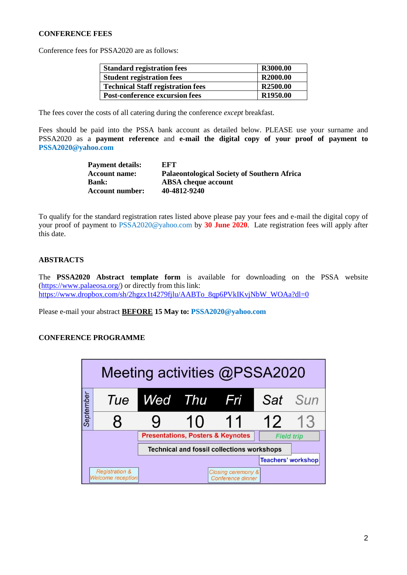#### **CONFERENCE FEES**

Conference fees for PSSA2020 are as follows:

| <b>Standard registration fees</b>        | R3000.00             |
|------------------------------------------|----------------------|
| <b>Student registration fees</b>         | R2000.00             |
| <b>Technical Staff registration fees</b> | R2500.00             |
| <b>Post-conference excursion fees</b>    | R <sub>1950.00</sub> |

The fees cover the costs of all catering during the conference *except* breakfast.

Fees should be paid into the PSSA bank account as detailed below. PLEASE use your surname and PSSA2020 as a **payment reference** and **e-mail the digital copy of your proof of payment to PSSA2020@yahoo.com**

| <b>Payment details:</b> | EFT                                                |
|-------------------------|----------------------------------------------------|
| <b>Account name:</b>    | <b>Palaeontological Society of Southern Africa</b> |
| <b>Bank:</b>            | <b>ABSA</b> cheque account                         |
| <b>Account number:</b>  | 40-4812-9240                                       |

To qualify for the standard registration rates listed above please pay your fees and e-mail the digital copy of your proof of payment to PSSA2020@yahoo.com by **30 June 2020**. Late registration fees will apply after this date.

#### **ABSTRACTS**

The **PSSA2020 Abstract template form** is available for downloading on the PSSA website [\(https://www.palaeosa.org/\)](https://www.palaeosa.org/) or directly from this link: [https://www.dropbox.com/sh/2hgzx1t4279fjlu/AABTo\\_8qp6PVkIKvjNbW\\_WOAa?dl=0](https://www.dropbox.com/sh/2hgzx1t4279fjlu/AABTo_8qp6PVkIKvjNbW_WOAa?dl=0)

Please e-mail your abstract **BEFORE 15 May to: PSSA2020@yahoo.com**

#### **CONFERENCE PROGRAMME**